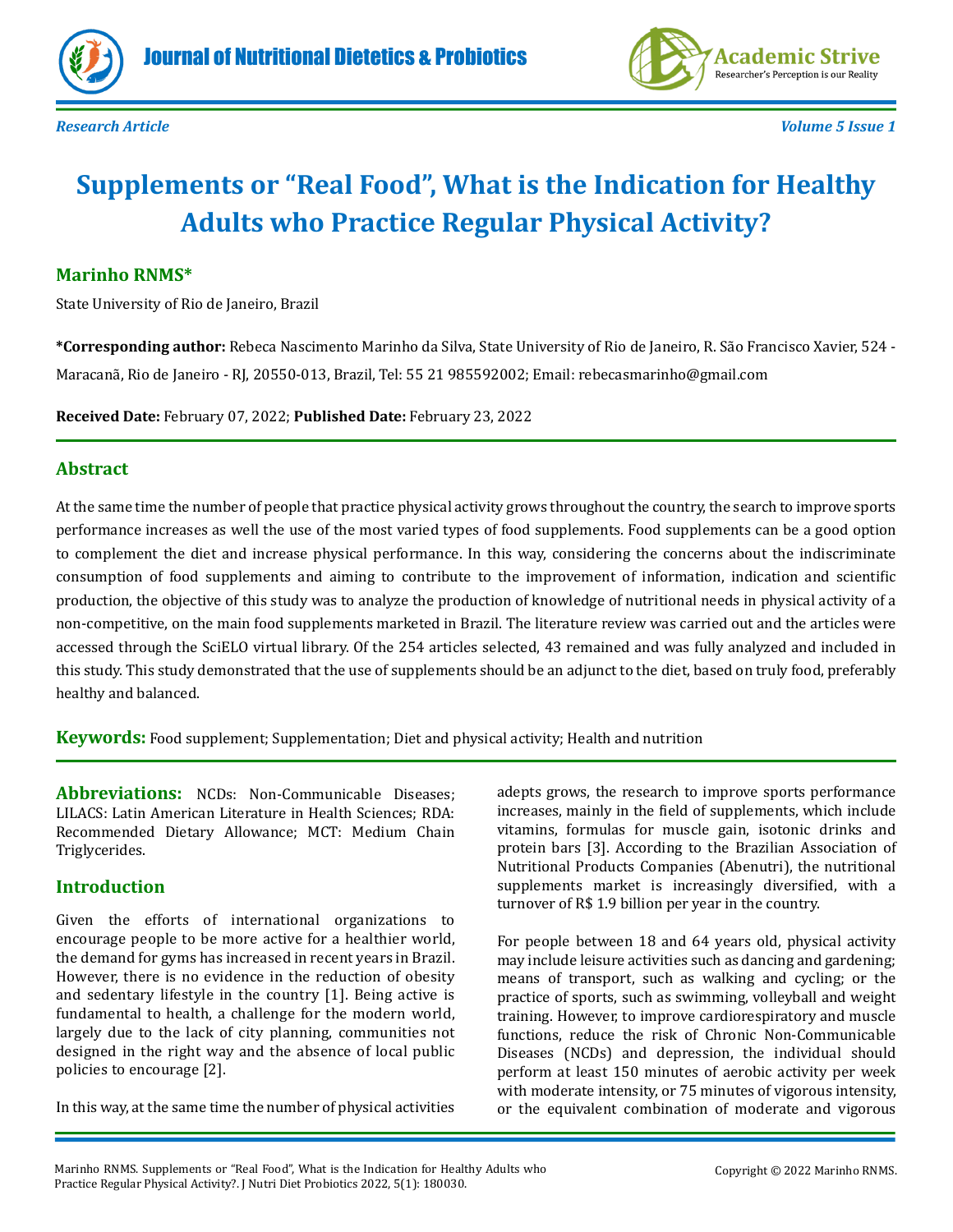



# **Supplements or "Real Food", What is the Indication for Healthy Adults who Practice Regular Physical Activity?**

### **Marinho RNMS\***

State University of Rio de Janeiro, Brazil

**\*Corresponding author:** Rebeca Nascimento Marinho da Silva, State University of Rio de Janeiro, R. São Francisco Xavier, 524 - Maracanã, Rio de Janeiro - RJ, 20550-013, Brazil, Tel: 55 21 985592002; Email: rebecasmarinho@gmail.com

**Received Date:** February 07, 2022; **Published Date:** February 23, 2022

#### **Abstract**

At the same time the number of people that practice physical activity grows throughout the country, the search to improve sports performance increases as well the use of the most varied types of food supplements. Food supplements can be a good option to complement the diet and increase physical performance. In this way, considering the concerns about the indiscriminate consumption of food supplements and aiming to contribute to the improvement of information, indication and scientific production, the objective of this study was to analyze the production of knowledge of nutritional needs in physical activity of a non-competitive, on the main food supplements marketed in Brazil. The literature review was carried out and the articles were accessed through the SciELO virtual library. Of the 254 articles selected, 43 remained and was fully analyzed and included in this study. This study demonstrated that the use of supplements should be an adjunct to the diet, based on truly food, preferably healthy and balanced.

**Keywords:** Food supplement; Supplementation; Diet and physical activity; Health and nutrition

**Abbreviations:** NCDs: Non-Communicable Diseases; LILACS: Latin American Literature in Health Sciences; RDA: Recommended Dietary Allowance; MCT: Medium Chain Triglycerides.

#### **Introduction**

Given the efforts of international organizations to encourage people to be more active for a healthier world, the demand for gyms has increased in recent years in Brazil. However, there is no evidence in the reduction of obesity and sedentary lifestyle in the country [1]. Being active is fundamental to health, a challenge for the modern world, largely due to the lack of city planning, communities not designed in the right way and the absence of local public policies to encourage [2].

In this way, at the same time the number of physical activities

adepts grows, the research to improve sports performance increases, mainly in the field of supplements, which include vitamins, formulas for muscle gain, isotonic drinks and protein bars [3]. According to the Brazilian Association of Nutritional Products Companies (Abenutri), the nutritional supplements market is increasingly diversified, with a turnover of R\$ 1.9 billion per year in the country.

For people between 18 and 64 years old, physical activity may include leisure activities such as dancing and gardening; means of transport, such as walking and cycling; or the practice of sports, such as swimming, volleyball and weight training. However, to improve cardiorespiratory and muscle functions, reduce the risk of Chronic Non-Communicable Diseases (NCDs) and depression, the individual should perform at least 150 minutes of aerobic activity per week with moderate intensity, or 75 minutes of vigorous intensity, or the equivalent combination of moderate and vigorous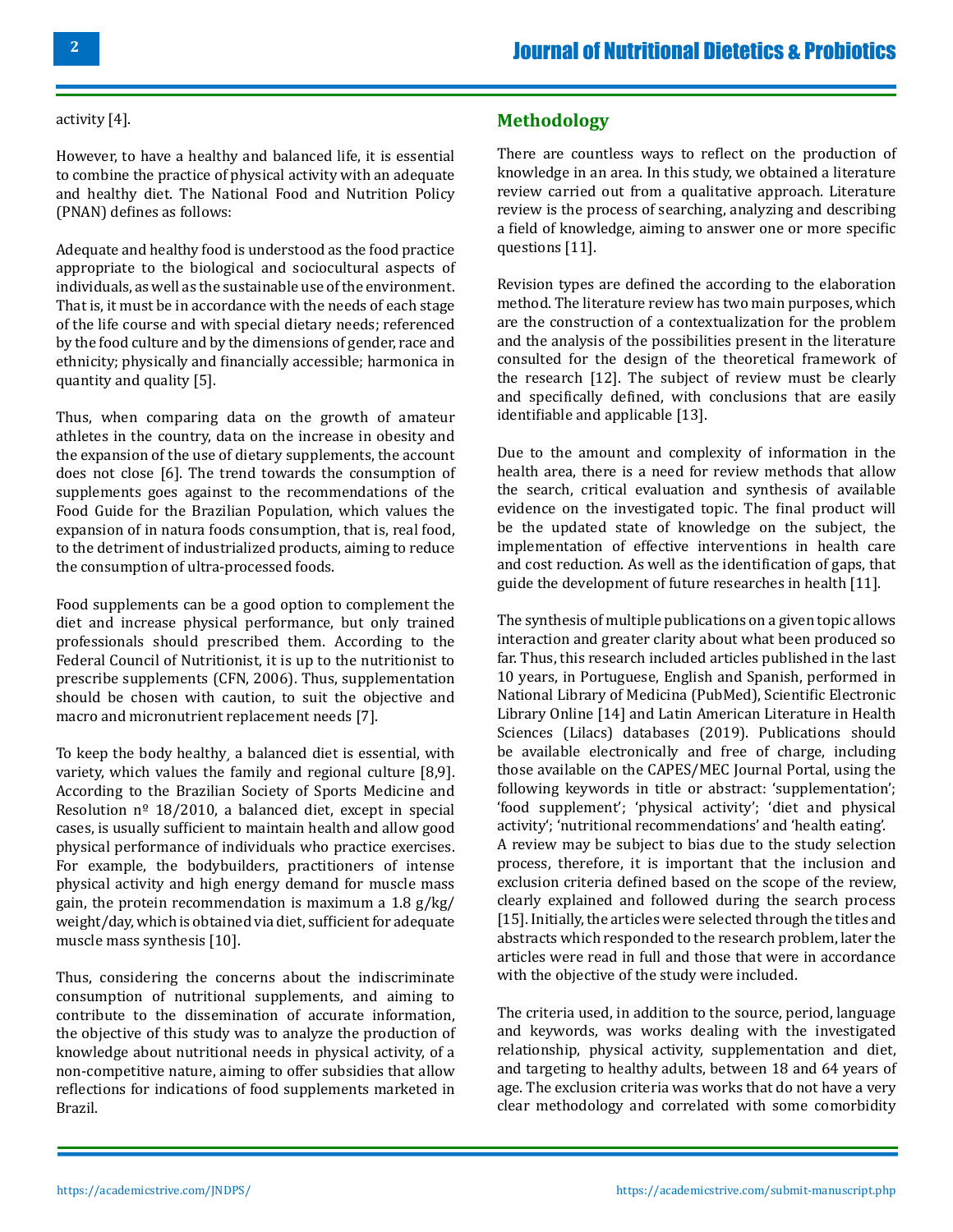#### activity [4].

However, to have a healthy and balanced life, it is essential to combine the practice of physical activity with an adequate and healthy diet. The National Food and Nutrition Policy (PNAN) defines as follows:

Adequate and healthy food is understood as the food practice appropriate to the biological and sociocultural aspects of individuals, as well as the sustainable use of the environment. That is, it must be in accordance with the needs of each stage of the life course and with special dietary needs; referenced by the food culture and by the dimensions of gender, race and ethnicity; physically and financially accessible; harmonica in quantity and quality [5].

Thus, when comparing data on the growth of amateur athletes in the country, data on the increase in obesity and the expansion of the use of dietary supplements, the account does not close [6]. The trend towards the consumption of supplements goes against to the recommendations of the Food Guide for the Brazilian Population, which values the expansion of in natura foods consumption, that is, real food, to the detriment of industrialized products, aiming to reduce the consumption of ultra-processed foods.

Food supplements can be a good option to complement the diet and increase physical performance, but only trained professionals should prescribed them. According to the Federal Council of Nutritionist, it is up to the nutritionist to prescribe supplements (CFN, 2006). Thus, supplementation should be chosen with caution, to suit the objective and macro and micronutrient replacement needs [7].

To keep the body healthy¸ a balanced diet is essential, with variety, which values the family and regional culture [8,9]. According to the Brazilian Society of Sports Medicine and Resolution  $n^{\circ}$  18/2010, a balanced diet, except in special cases, is usually sufficient to maintain health and allow good physical performance of individuals who practice exercises. For example, the bodybuilders, practitioners of intense physical activity and high energy demand for muscle mass gain, the protein recommendation is maximum a 1.8 g/kg/ weight/day, which is obtained via diet, sufficient for adequate muscle mass synthesis [10].

Thus, considering the concerns about the indiscriminate consumption of nutritional supplements, and aiming to contribute to the dissemination of accurate information, the objective of this study was to analyze the production of knowledge about nutritional needs in physical activity, of a non-competitive nature, aiming to offer subsidies that allow reflections for indications of food supplements marketed in Brazil.

### **Methodology**

There are countless ways to reflect on the production of knowledge in an area. In this study, we obtained a literature review carried out from a qualitative approach. Literature review is the process of searching, analyzing and describing a field of knowledge, aiming to answer one or more specific questions [11].

Revision types are defined the according to the elaboration method. The literature review has two main purposes, which are the construction of a contextualization for the problem and the analysis of the possibilities present in the literature consulted for the design of the theoretical framework of the research [12]. The subject of review must be clearly and specifically defined, with conclusions that are easily identifiable and applicable [13].

Due to the amount and complexity of information in the health area, there is a need for review methods that allow the search, critical evaluation and synthesis of available evidence on the investigated topic. The final product will be the updated state of knowledge on the subject, the implementation of effective interventions in health care and cost reduction. As well as the identification of gaps, that guide the development of future researches in health [11].

The synthesis of multiple publications on a given topic allows interaction and greater clarity about what been produced so far. Thus, this research included articles published in the last 10 years, in Portuguese, English and Spanish, performed in National Library of Medicina (PubMed), Scientific Electronic Library Online [14] and Latin American Literature in Health Sciences (Lilacs) databases (2019). Publications should be available electronically and free of charge, including those available on the CAPES/MEC Journal Portal, using the following keywords in title or abstract: 'supplementation'; 'food supplement'; 'physical activity'; 'diet and physical activity'; 'nutritional recommendations' and 'health eating'. A review may be subject to bias due to the study selection process, therefore, it is important that the inclusion and exclusion criteria defined based on the scope of the review, clearly explained and followed during the search process [15]. Initially, the articles were selected through the titles and abstracts which responded to the research problem, later the articles were read in full and those that were in accordance with the objective of the study were included.

The criteria used, in addition to the source, period, language and keywords, was works dealing with the investigated relationship, physical activity, supplementation and diet, and targeting to healthy adults, between 18 and 64 years of age. The exclusion criteria was works that do not have a very clear methodology and correlated with some comorbidity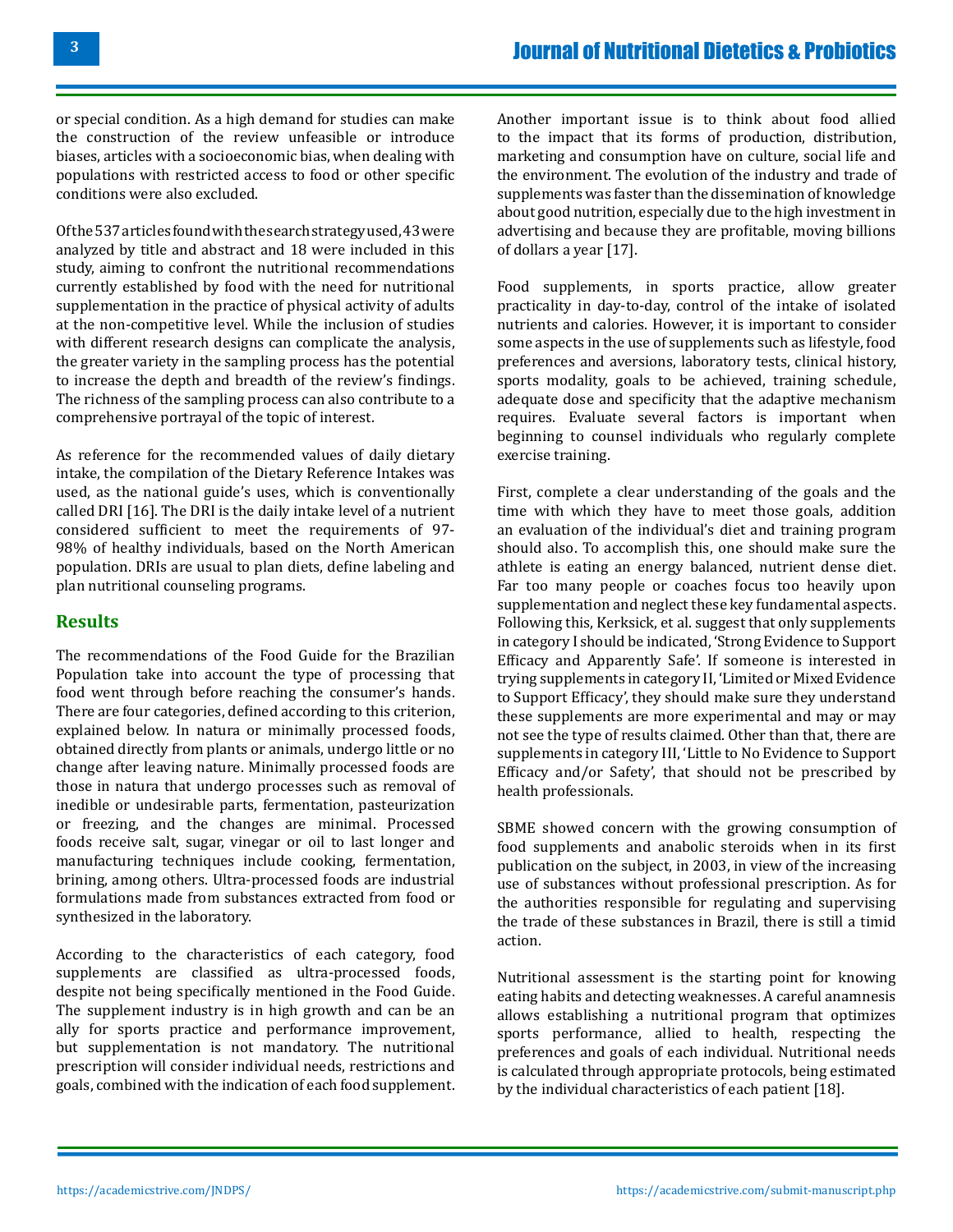or special condition. As a high demand for studies can make the construction of the review unfeasible or introduce biases, articles with a socioeconomic bias, when dealing with populations with restricted access to food or other specific conditions were also excluded.

Of the 537 articles found with the search strategy used, 43 were analyzed by title and abstract and 18 were included in this study, aiming to confront the nutritional recommendations currently established by food with the need for nutritional supplementation in the practice of physical activity of adults at the non-competitive level. While the inclusion of studies with different research designs can complicate the analysis, the greater variety in the sampling process has the potential to increase the depth and breadth of the review's findings. The richness of the sampling process can also contribute to a comprehensive portrayal of the topic of interest.

As reference for the recommended values of daily dietary intake, the compilation of the Dietary Reference Intakes was used, as the national guide's uses, which is conventionally called DRI [16]. The DRI is the daily intake level of a nutrient considered sufficient to meet the requirements of 97- 98% of healthy individuals, based on the North American population. DRIs are usual to plan diets, define labeling and plan nutritional counseling programs.

### **Results**

The recommendations of the Food Guide for the Brazilian Population take into account the type of processing that food went through before reaching the consumer's hands. There are four categories, defined according to this criterion, explained below. In natura or minimally processed foods, obtained directly from plants or animals, undergo little or no change after leaving nature. Minimally processed foods are those in natura that undergo processes such as removal of inedible or undesirable parts, fermentation, pasteurization or freezing, and the changes are minimal. Processed foods receive salt, sugar, vinegar or oil to last longer and manufacturing techniques include cooking, fermentation, brining, among others. Ultra-processed foods are industrial formulations made from substances extracted from food or synthesized in the laboratory.

According to the characteristics of each category, food supplements are classified as ultra-processed foods, despite not being specifically mentioned in the Food Guide. The supplement industry is in high growth and can be an ally for sports practice and performance improvement, but supplementation is not mandatory. The nutritional prescription will consider individual needs, restrictions and goals, combined with the indication of each food supplement.

Another important issue is to think about food allied to the impact that its forms of production, distribution, marketing and consumption have on culture, social life and the environment. The evolution of the industry and trade of supplements was faster than the dissemination of knowledge about good nutrition, especially due to the high investment in advertising and because they are profitable, moving billions of dollars a year [17].

Food supplements, in sports practice, allow greater practicality in day-to-day, control of the intake of isolated nutrients and calories. However, it is important to consider some aspects in the use of supplements such as lifestyle, food preferences and aversions, laboratory tests, clinical history, sports modality, goals to be achieved, training schedule, adequate dose and specificity that the adaptive mechanism requires. Evaluate several factors is important when beginning to counsel individuals who regularly complete exercise training.

First, complete a clear understanding of the goals and the time with which they have to meet those goals, addition an evaluation of the individual's diet and training program should also. To accomplish this, one should make sure the athlete is eating an energy balanced, nutrient dense diet. Far too many people or coaches focus too heavily upon supplementation and neglect these key fundamental aspects. Following this, Kerksick, et al. suggest that only supplements in category I should be indicated, 'Strong Evidence to Support Efficacy and Apparently Safe'. If someone is interested in trying supplements in category II, 'Limited or Mixed Evidence to Support Efficacy', they should make sure they understand these supplements are more experimental and may or may not see the type of results claimed. Other than that, there are supplements in category III, 'Little to No Evidence to Support Efficacy and/or Safety', that should not be prescribed by health professionals.

SBME showed concern with the growing consumption of food supplements and anabolic steroids when in its first publication on the subject, in 2003, in view of the increasing use of substances without professional prescription. As for the authorities responsible for regulating and supervising the trade of these substances in Brazil, there is still a timid action.

Nutritional assessment is the starting point for knowing eating habits and detecting weaknesses. A careful anamnesis allows establishing a nutritional program that optimizes sports performance, allied to health, respecting the preferences and goals of each individual. Nutritional needs is calculated through appropriate protocols, being estimated by the individual characteristics of each patient [18].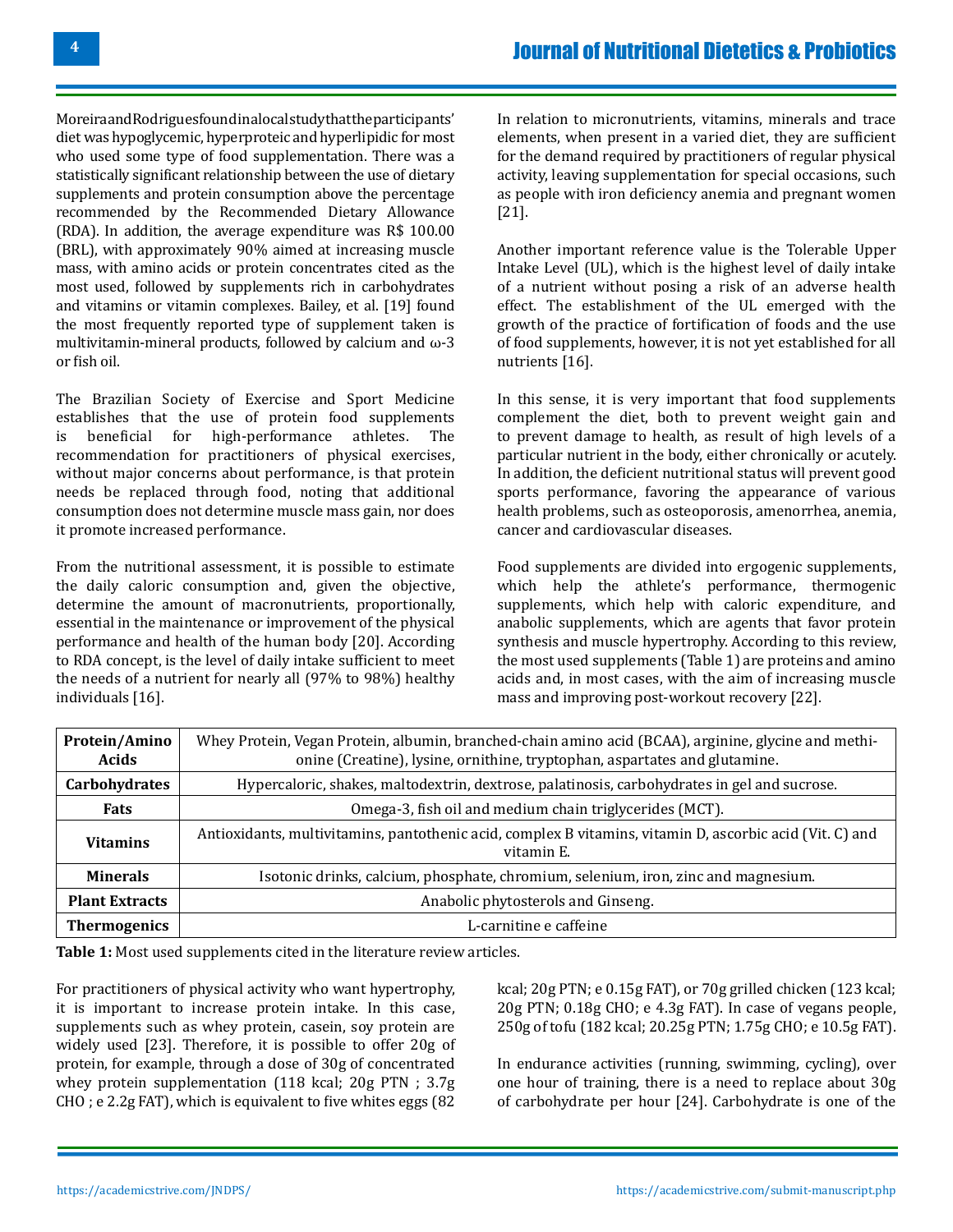Moreira and Rodrigues found in a local study that the participants' diet was hypoglycemic, hyperproteic and hyperlipidic for most who used some type of food supplementation. There was a statistically significant relationship between the use of dietary supplements and protein consumption above the percentage recommended by the Recommended Dietary Allowance (RDA). In addition, the average expenditure was R\$ 100.00 (BRL), with approximately 90% aimed at increasing muscle mass, with amino acids or protein concentrates cited as the most used, followed by supplements rich in carbohydrates and vitamins or vitamin complexes. Bailey, et al. [19] found the most frequently reported type of supplement taken is multivitamin-mineral products, followed by calcium and ω-3 or fish oil.

The Brazilian Society of Exercise and Sport Medicine establishes that the use of protein food supplements<br>is beneficial for high-performance athletes. The high-performance recommendation for practitioners of physical exercises, without major concerns about performance, is that protein needs be replaced through food, noting that additional consumption does not determine muscle mass gain, nor does it promote increased performance.

From the nutritional assessment, it is possible to estimate the daily caloric consumption and, given the objective, determine the amount of macronutrients, proportionally, essential in the maintenance or improvement of the physical performance and health of the human body [20]. According to RDA concept, is the level of daily intake sufficient to meet the needs of a nutrient for nearly all (97% to 98%) healthy individuals [16].

In relation to micronutrients, vitamins, minerals and trace elements, when present in a varied diet, they are sufficient for the demand required by practitioners of regular physical activity, leaving supplementation for special occasions, such as people with iron deficiency anemia and pregnant women [21].

Another important reference value is the Tolerable Upper Intake Level (UL), which is the highest level of daily intake of a nutrient without posing a risk of an adverse health effect. The establishment of the UL emerged with the growth of the practice of fortification of foods and the use of food supplements, however, it is not yet established for all nutrients [16].

In this sense, it is very important that food supplements complement the diet, both to prevent weight gain and to prevent damage to health, as result of high levels of a particular nutrient in the body, either chronically or acutely. In addition, the deficient nutritional status will prevent good sports performance, favoring the appearance of various health problems, such as osteoporosis, amenorrhea, anemia, cancer and cardiovascular diseases.

Food supplements are divided into ergogenic supplements, which help the athlete's performance, thermogenic supplements, which help with caloric expenditure, and anabolic supplements, which are agents that favor protein synthesis and muscle hypertrophy. According to this review, the most used supplements (Table 1) are proteins and amino acids and, in most cases, with the aim of increasing muscle mass and improving post-workout recovery [22].

| Protein/Amino<br><b>Acids</b> | Whey Protein, Vegan Protein, albumin, branched-chain amino acid (BCAA), arginine, glycine and methi-<br>onine (Creatine), lysine, ornithine, tryptophan, aspartates and glutamine. |
|-------------------------------|------------------------------------------------------------------------------------------------------------------------------------------------------------------------------------|
| Carbohydrates                 | Hypercaloric, shakes, maltodextrin, dextrose, palatinosis, carbohydrates in gel and sucrose.                                                                                       |
| <b>Fats</b>                   | Omega-3, fish oil and medium chain triglycerides (MCT).                                                                                                                            |
| <b>Vitamins</b>               | Antioxidants, multivitamins, pantothenic acid, complex B vitamins, vitamin D, ascorbic acid (Vit. C) and<br>vitamin E.                                                             |
| <b>Minerals</b>               | Isotonic drinks, calcium, phosphate, chromium, selenium, iron, zinc and magnesium.                                                                                                 |
| <b>Plant Extracts</b>         | Anabolic phytosterols and Ginseng.                                                                                                                                                 |
| <b>Thermogenics</b>           | L-carnitine e caffeine                                                                                                                                                             |

**Table 1:** Most used supplements cited in the literature review articles.

For practitioners of physical activity who want hypertrophy, it is important to increase protein intake. In this case, supplements such as whey protein, casein, soy protein are widely used [23]. Therefore, it is possible to offer 20g of protein, for example, through a dose of 30g of concentrated whey protein supplementation (118 kcal; 20g PTN ; 3.7g CHO ; e 2.2g FAT), which is equivalent to five whites eggs (82

kcal; 20g PTN; e 0.15g FAT), or 70g grilled chicken (123 kcal; 20g PTN; 0.18g CHO; e 4.3g FAT). In case of vegans people, 250g of tofu (182 kcal; 20.25g PTN; 1.75g CHO; e 10.5g FAT).

In endurance activities (running, swimming, cycling), over one hour of training, there is a need to replace about 30g of carbohydrate per hour [24]. Carbohydrate is one of the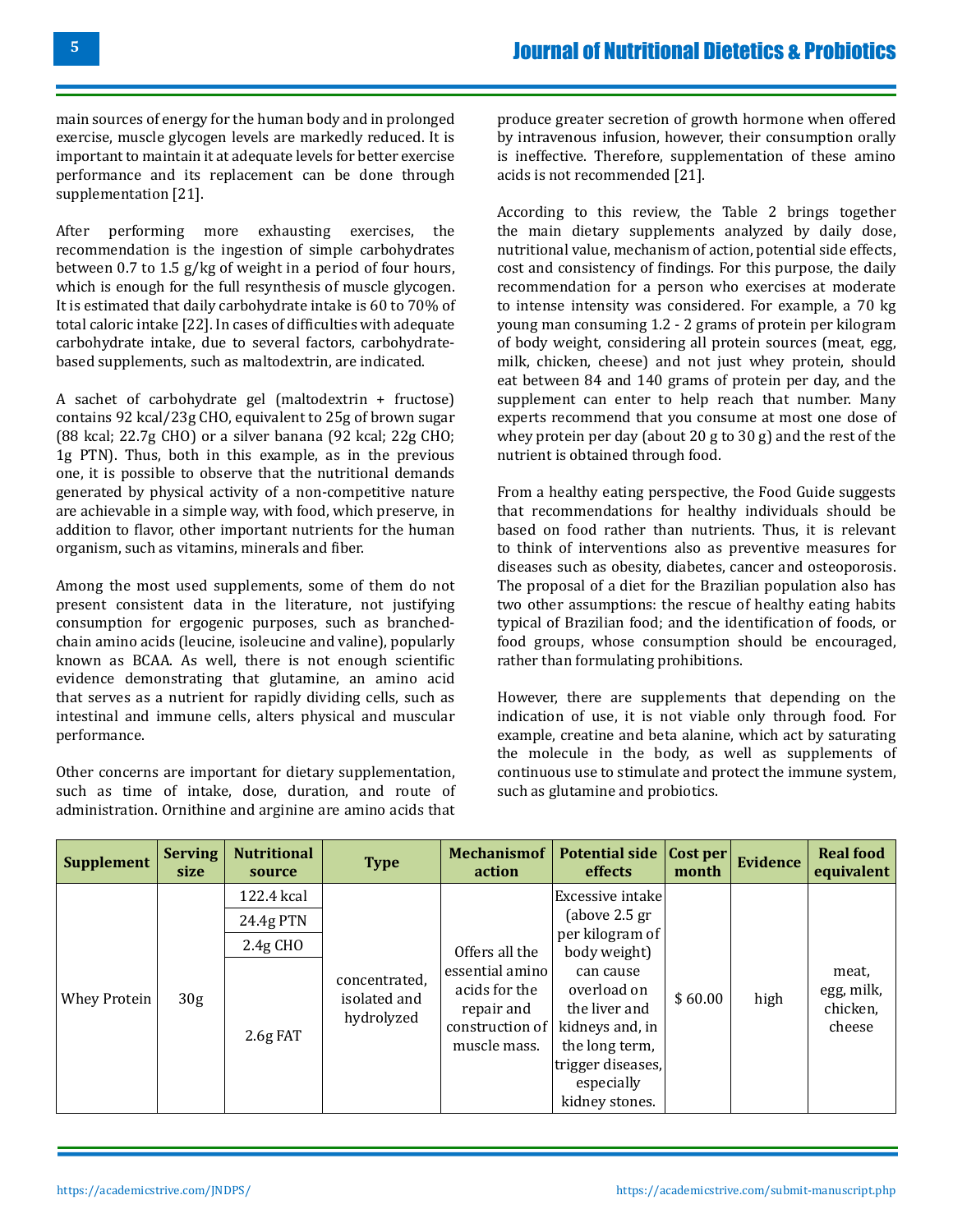main sources of energy for the human body and in prolonged exercise, muscle glycogen levels are markedly reduced. It is important to maintain it at adequate levels for better exercise performance and its replacement can be done through supplementation [21].

After performing more exhausting exercises, the recommendation is the ingestion of simple carbohydrates between 0.7 to 1.5 g/kg of weight in a period of four hours, which is enough for the full resynthesis of muscle glycogen. It is estimated that daily carbohydrate intake is 60 to 70% of total caloric intake [22]. In cases of difficulties with adequate carbohydrate intake, due to several factors, carbohydratebased supplements, such as maltodextrin, are indicated.

A sachet of carbohydrate gel (maltodextrin + fructose) contains 92 kcal/23g CHO, equivalent to 25g of brown sugar (88 kcal; 22.7g CHO) or a silver banana (92 kcal; 22g CHO; 1g PTN). Thus, both in this example, as in the previous one, it is possible to observe that the nutritional demands generated by physical activity of a non-competitive nature are achievable in a simple way, with food, which preserve, in addition to flavor, other important nutrients for the human organism, such as vitamins, minerals and fiber.

Among the most used supplements, some of them do not present consistent data in the literature, not justifying consumption for ergogenic purposes, such as branchedchain amino acids (leucine, isoleucine and valine), popularly known as BCAA. As well, there is not enough scientific evidence demonstrating that glutamine, an amino acid that serves as a nutrient for rapidly dividing cells, such as intestinal and immune cells, alters physical and muscular performance.

Other concerns are important for dietary supplementation, such as time of intake, dose, duration, and route of administration. Ornithine and arginine are amino acids that produce greater secretion of growth hormone when offered by intravenous infusion, however, their consumption orally is ineffective. Therefore, supplementation of these amino acids is not recommended [21].

According to this review, the Table 2 brings together the main dietary supplements analyzed by daily dose, nutritional value, mechanism of action, potential side effects, cost and consistency of findings. For this purpose, the daily recommendation for a person who exercises at moderate to intense intensity was considered. For example, a 70 kg young man consuming 1.2 - 2 grams of protein per kilogram of body weight, considering all protein sources (meat, egg, milk, chicken, cheese) and not just whey protein, should eat between 84 and 140 grams of protein per day, and the supplement can enter to help reach that number. Many experts recommend that you consume at most one dose of whey protein per day (about 20 g to 30 g) and the rest of the nutrient is obtained through food.

From a healthy eating perspective, the Food Guide suggests that recommendations for healthy individuals should be based on food rather than nutrients. Thus, it is relevant to think of interventions also as preventive measures for diseases such as obesity, diabetes, cancer and osteoporosis. The proposal of a diet for the Brazilian population also has two other assumptions: the rescue of healthy eating habits typical of Brazilian food; and the identification of foods, or food groups, whose consumption should be encouraged, rather than formulating prohibitions.

However, there are supplements that depending on the indication of use, it is not viable only through food. For example, creatine and beta alanine, which act by saturating the molecule in the body, as well as supplements of continuous use to stimulate and protect the immune system, such as glutamine and probiotics.

| <b>Supplement</b> | <b>Serving</b><br>size | <b>Nutritional</b><br>source | <b>Type</b>                                 | <b>Mechanismof</b><br>action                                                      | Potential side Cost per<br>effects                                                                                                  | month   | <b>Evidence</b> | <b>Real food</b><br>equivalent            |
|-------------------|------------------------|------------------------------|---------------------------------------------|-----------------------------------------------------------------------------------|-------------------------------------------------------------------------------------------------------------------------------------|---------|-----------------|-------------------------------------------|
|                   |                        | 122.4 kcal                   |                                             | per kilogram of<br>Offers all the                                                 | Excessive intake                                                                                                                    |         |                 |                                           |
|                   |                        | 24.4g PTN                    |                                             |                                                                                   | (above $2.5$ gr                                                                                                                     |         |                 |                                           |
|                   |                        | $2.4g$ CHO                   |                                             |                                                                                   | body weight)                                                                                                                        |         |                 |                                           |
| Whey Protein      | 30 <sub>g</sub>        | $2.6g$ FAT                   | concentrated,<br>isolated and<br>hydrolyzed | essential amino<br>acids for the<br>repair and<br>construction of<br>muscle mass. | can cause<br>overload on<br>the liver and<br>kidneys and, in<br>the long term,<br>trigger diseases,<br>especially<br>kidney stones. | \$60.00 | high            | meat,<br>egg, milk,<br>chicken,<br>cheese |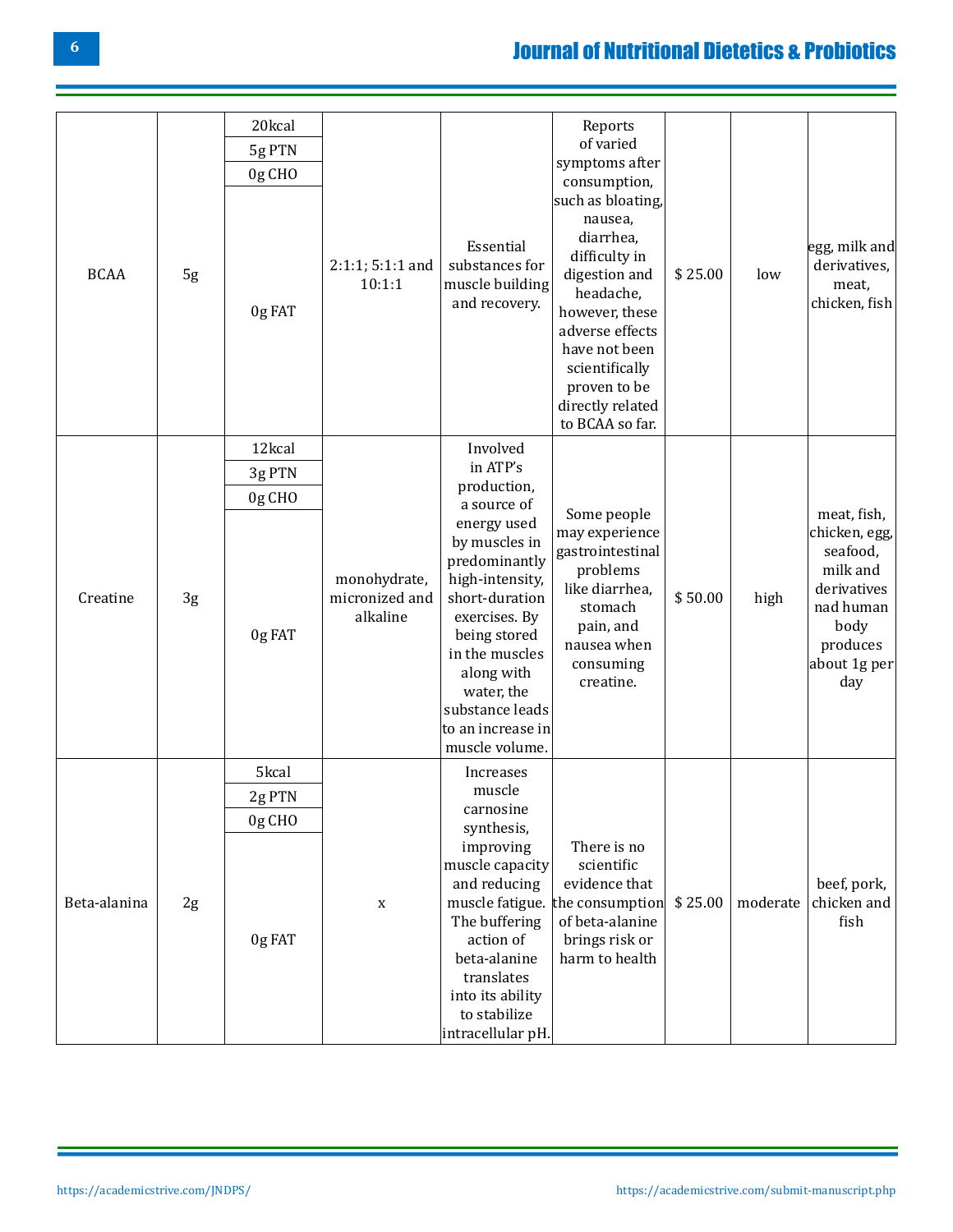# [Journal of Nutritional Dietetics & Probiotics](https://academicstrive.com/JNDPS/)

|              |    | 20kcal |                                            |                                                                                                                                                                                                                                                                       | Reports<br>of varied                                                                                                                                                                                                    |         |          |                                                                                                                             |
|--------------|----|--------|--------------------------------------------|-----------------------------------------------------------------------------------------------------------------------------------------------------------------------------------------------------------------------------------------------------------------------|-------------------------------------------------------------------------------------------------------------------------------------------------------------------------------------------------------------------------|---------|----------|-----------------------------------------------------------------------------------------------------------------------------|
|              |    | 5g PTN |                                            |                                                                                                                                                                                                                                                                       | symptoms after                                                                                                                                                                                                          |         |          |                                                                                                                             |
|              |    | 0g CHO |                                            |                                                                                                                                                                                                                                                                       | consumption,                                                                                                                                                                                                            |         |          |                                                                                                                             |
| <b>BCAA</b>  | 5g | 0g FAT | $2:1:1; 5:1:1$ and<br>10:1:1               | Essential<br>substances for<br>muscle building<br>and recovery.                                                                                                                                                                                                       | such as bloating,<br>nausea,<br>diarrhea,<br>difficulty in<br>digestion and<br>headache,<br>however, these<br>adverse effects<br>have not been<br>scientifically<br>proven to be<br>directly related<br>to BCAA so far. | \$25.00 | low      | egg, milk and<br>derivatives,<br>meat,<br>chicken, fish                                                                     |
|              |    | 12kcal |                                            | Involved                                                                                                                                                                                                                                                              |                                                                                                                                                                                                                         |         |          |                                                                                                                             |
|              |    | 3g PTN |                                            | in ATP's<br>production,<br>a source of<br>energy used<br>by muscles in<br>predominantly<br>high-intensity,<br>short-duration<br>exercises. By<br>being stored<br>in the muscles<br>along with<br>water, the<br>substance leads<br>to an increase in<br>muscle volume. | Some people<br>may experience<br>gastrointestinal<br>problems<br>like diarrhea,<br>stomach<br>pain, and<br>nausea when<br>consuming<br>creatine.                                                                        | \$50.00 | high     | meat, fish,<br>chicken, egg,<br>seafood,<br>milk and<br>derivatives<br>nad human<br>body<br>produces<br>about 1g per<br>day |
|              |    | 0g CHO |                                            |                                                                                                                                                                                                                                                                       |                                                                                                                                                                                                                         |         |          |                                                                                                                             |
| Creatine     | 3g | 0g FAT | monohydrate,<br>micronized and<br>alkaline |                                                                                                                                                                                                                                                                       |                                                                                                                                                                                                                         |         |          |                                                                                                                             |
|              |    | 5kcal  |                                            | Increases                                                                                                                                                                                                                                                             |                                                                                                                                                                                                                         |         |          |                                                                                                                             |
| Beta-alanina |    | 2g PTN |                                            | muscle                                                                                                                                                                                                                                                                |                                                                                                                                                                                                                         |         |          |                                                                                                                             |
|              |    | 0g CHO |                                            | carnosine<br>synthesis,                                                                                                                                                                                                                                               |                                                                                                                                                                                                                         |         |          |                                                                                                                             |
|              | 2g | 0g FAT | $\mathbf X$                                | improving<br>muscle capacity<br>and reducing<br>The buffering<br>action of<br>beta-alanine<br>translates<br>into its ability<br>to stabilize<br>intracellular pH.                                                                                                     | There is no<br>scientific<br>evidence that<br>muscle fatigue. the consumption<br>of beta-alanine<br>brings risk or<br>harm to health                                                                                    | \$25.00 | moderate | beef, pork,<br>chicken and<br>fish                                                                                          |

**6**

 $\overline{\phantom{a}}$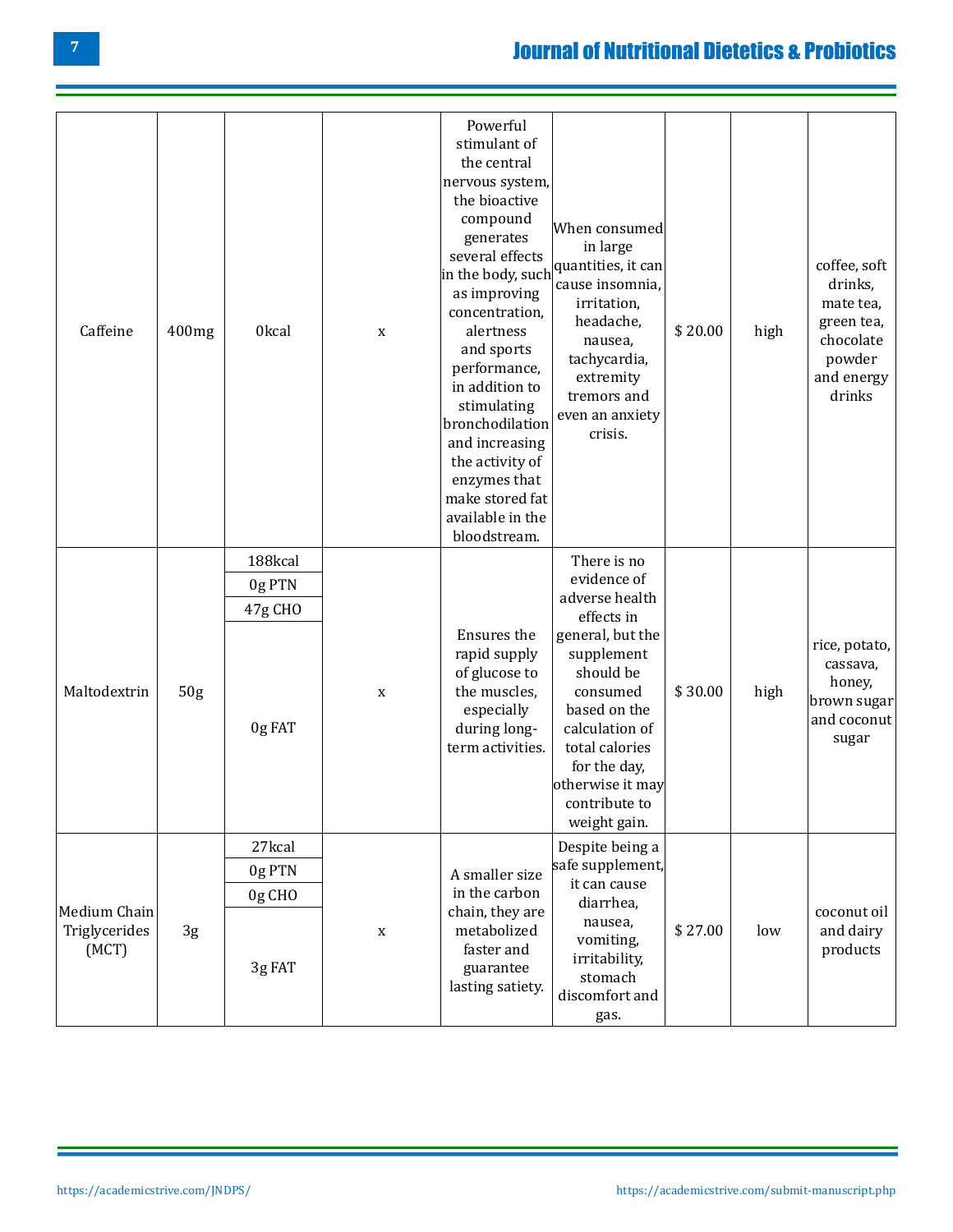# [Journal of Nutritional Dietetics & Probiotics](https://academicstrive.com/JNDPS/)

| Caffeine                               | 400mg           | 0kcal                 | $\mathbf X$                                                                   | Powerful<br>stimulant of<br>the central<br>nervous system,<br>the bioactive<br>compound<br>generates<br>several effects<br>in the body, such<br>as improving<br>concentration,<br>alertness<br>and sports<br>performance,<br>in addition to<br>stimulating<br>bronchodilation<br>and increasing<br>the activity of<br>enzymes that<br>make stored fat<br>available in the<br>bloodstream. | When consumed<br>in large<br>quantities, it can<br>cause insomnia,<br>irritation,<br>headache,<br>nausea,<br>tachycardia,<br>extremity<br>tremors and<br>even an anxiety<br>crisis. | \$20.00 | high                                 | coffee, soft<br>drinks,<br>mate tea,<br>green tea,<br>chocolate<br>powder<br>and energy<br>drinks |
|----------------------------------------|-----------------|-----------------------|-------------------------------------------------------------------------------|-------------------------------------------------------------------------------------------------------------------------------------------------------------------------------------------------------------------------------------------------------------------------------------------------------------------------------------------------------------------------------------------|-------------------------------------------------------------------------------------------------------------------------------------------------------------------------------------|---------|--------------------------------------|---------------------------------------------------------------------------------------------------|
|                                        |                 | 188kcal               |                                                                               |                                                                                                                                                                                                                                                                                                                                                                                           | There is no                                                                                                                                                                         |         |                                      |                                                                                                   |
|                                        | 50 <sub>g</sub> | 0g PTN                | $\mathbf x$                                                                   | Ensures the<br>rapid supply<br>of glucose to<br>the muscles,<br>especially<br>during long-<br>term activities.                                                                                                                                                                                                                                                                            | evidence of                                                                                                                                                                         |         | high                                 |                                                                                                   |
|                                        |                 | 47g CHO               |                                                                               |                                                                                                                                                                                                                                                                                                                                                                                           | adverse health<br>effects in                                                                                                                                                        |         |                                      |                                                                                                   |
| Maltodextrin                           |                 | 0g FAT                |                                                                               |                                                                                                                                                                                                                                                                                                                                                                                           | general, but the<br>supplement<br>should be<br>consumed<br>based on the<br>calculation of<br>total calories<br>for the day,<br>otherwise it may<br>contribute to<br>weight gain.    | \$30.00 |                                      | rice, potato,<br>cassava,<br>honey,<br>brown sugar<br>and coconut<br>sugar                        |
|                                        |                 | 27kcal                |                                                                               |                                                                                                                                                                                                                                                                                                                                                                                           | Despite being a                                                                                                                                                                     |         |                                      |                                                                                                   |
| Medium Chain<br>Triglycerides<br>(MCT) | $3\mathsf g$    | 0g PTN                |                                                                               | A smaller size<br>in the carbon                                                                                                                                                                                                                                                                                                                                                           | safe supplement,                                                                                                                                                                    |         |                                      |                                                                                                   |
|                                        |                 | 0g CHO                |                                                                               |                                                                                                                                                                                                                                                                                                                                                                                           | it can cause<br>diarrhea,                                                                                                                                                           |         |                                      |                                                                                                   |
|                                        |                 | $\mathbf X$<br>3g FAT | chain, they are<br>metabolized<br>faster and<br>guarantee<br>lasting satiety. | nausea,<br>vomiting,<br>irritability,<br>stomach<br>discomfort and<br>gas.                                                                                                                                                                                                                                                                                                                | \$27.00                                                                                                                                                                             | low     | coconut oil<br>and dairy<br>products |                                                                                                   |

<u> 1989 - Johann Barnett, mars eta idazlea (h. 1989).</u>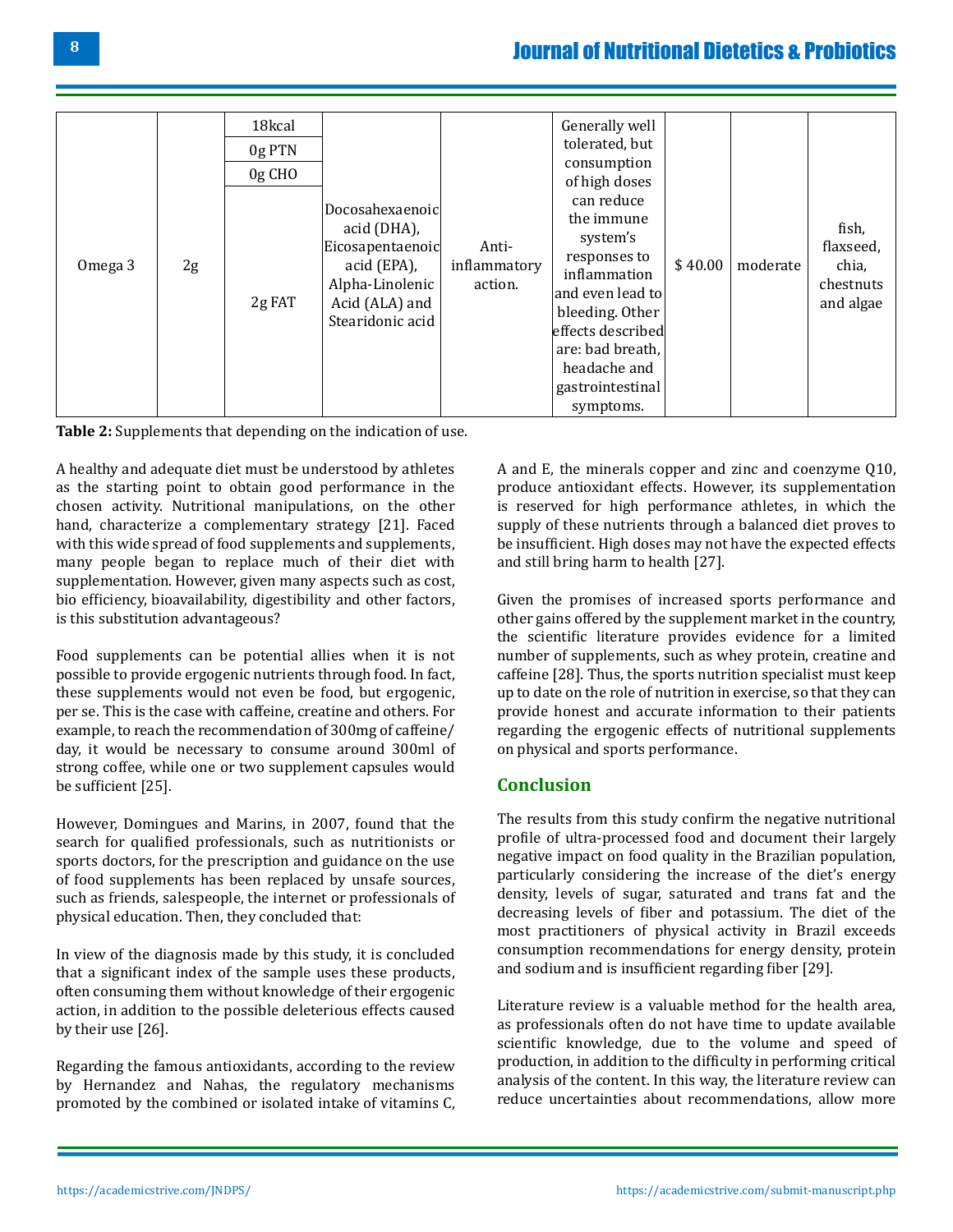## [Journal of Nutritional Dietetics & Probiotics](https://academicstrive.com/JNDPS/)

| Omega 3 | 2g | 18kcal<br>0g PTN<br>$0g$ CHO<br>2g FAT | Docosahexaenoic<br>acid (DHA),<br>Eicosapentaenoic<br>acid (EPA),<br>Alpha-Linolenic<br>Acid (ALA) and<br>Stearidonic acid | Anti-<br>inflammatory<br>action. | Generally well<br>tolerated, but<br>consumption<br>of high doses<br>can reduce<br>the immune<br>system's<br>responses to<br>inflammation<br>and even lead to<br>bleeding. Other<br>effects described<br>are: bad breath,<br>headache and<br>gastrointestinal<br>symptoms. | \$40.00 | moderate | fish,<br>flaxseed,<br>chia,<br>chestnuts<br>and algae |
|---------|----|----------------------------------------|----------------------------------------------------------------------------------------------------------------------------|----------------------------------|---------------------------------------------------------------------------------------------------------------------------------------------------------------------------------------------------------------------------------------------------------------------------|---------|----------|-------------------------------------------------------|
|---------|----|----------------------------------------|----------------------------------------------------------------------------------------------------------------------------|----------------------------------|---------------------------------------------------------------------------------------------------------------------------------------------------------------------------------------------------------------------------------------------------------------------------|---------|----------|-------------------------------------------------------|



A healthy and adequate diet must be understood by athletes as the starting point to obtain good performance in the chosen activity. Nutritional manipulations, on the other hand, characterize a complementary strategy [21]. Faced with this wide spread of food supplements and supplements, many people began to replace much of their diet with supplementation. However, given many aspects such as cost, bio efficiency, bioavailability, digestibility and other factors, is this substitution advantageous?

Food supplements can be potential allies when it is not possible to provide ergogenic nutrients through food. In fact, these supplements would not even be food, but ergogenic, per se. This is the case with caffeine, creatine and others. For example, to reach the recommendation of 300mg of caffeine/ day, it would be necessary to consume around 300ml of strong coffee, while one or two supplement capsules would be sufficient [25].

However, Domingues and Marins, in 2007, found that the search for qualified professionals, such as nutritionists or sports doctors, for the prescription and guidance on the use of food supplements has been replaced by unsafe sources, such as friends, salespeople, the internet or professionals of physical education. Then, they concluded that:

In view of the diagnosis made by this study, it is concluded that a significant index of the sample uses these products, often consuming them without knowledge of their ergogenic action, in addition to the possible deleterious effects caused by their use [26].

Regarding the famous antioxidants, according to the review by Hernandez and Nahas, the regulatory mechanisms promoted by the combined or isolated intake of vitamins C,

A and E, the minerals copper and zinc and coenzyme Q10, produce antioxidant effects. However, its supplementation is reserved for high performance athletes, in which the supply of these nutrients through a balanced diet proves to be insufficient. High doses may not have the expected effects and still bring harm to health [27].

Given the promises of increased sports performance and other gains offered by the supplement market in the country, the scientific literature provides evidence for a limited number of supplements, such as whey protein, creatine and caffeine [28]. Thus, the sports nutrition specialist must keep up to date on the role of nutrition in exercise, so that they can provide honest and accurate information to their patients regarding the ergogenic effects of nutritional supplements on physical and sports performance.

### **Conclusion**

The results from this study confirm the negative nutritional profile of ultra-processed food and document their largely negative impact on food quality in the Brazilian population, particularly considering the increase of the diet's energy density, levels of sugar, saturated and trans fat and the decreasing levels of fiber and potassium. The diet of the most practitioners of physical activity in Brazil exceeds consumption recommendations for energy density, protein and sodium and is insufficient regarding fiber [29].

Literature review is a valuable method for the health area, as professionals often do not have time to update available scientific knowledge, due to the volume and speed of production, in addition to the difficulty in performing critical analysis of the content. In this way, the literature review can reduce uncertainties about recommendations, allow more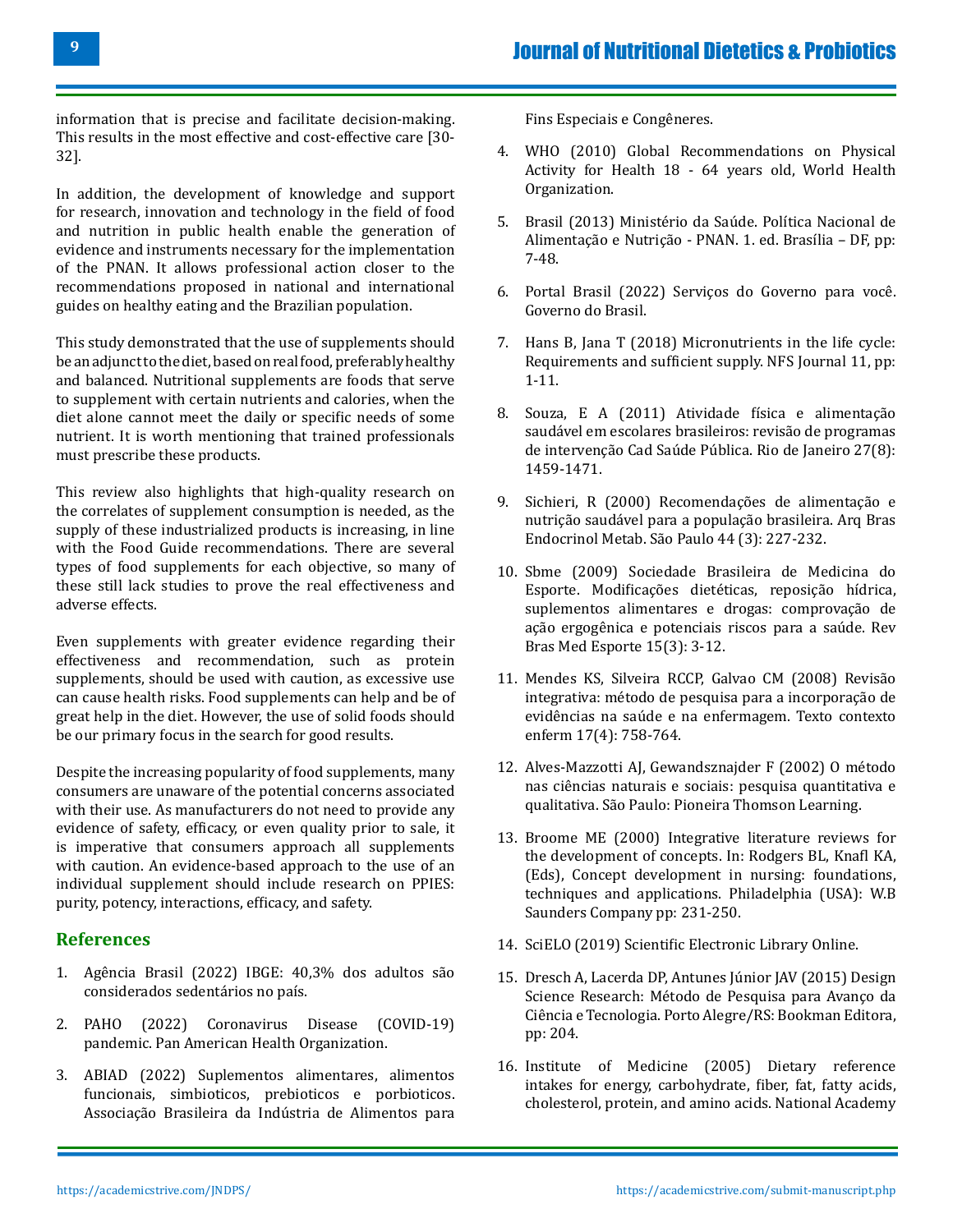information that is precise and facilitate decision-making. This results in the most effective and cost-effective care [30- 32].

In addition, the development of knowledge and support for research, innovation and technology in the field of food and nutrition in public health enable the generation of evidence and instruments necessary for the implementation of the PNAN. It allows professional action closer to the recommendations proposed in national and international guides on healthy eating and the Brazilian population.

This study demonstrated that the use of supplements should be an adjunct to the diet, based on real food, preferably healthy and balanced. Nutritional supplements are foods that serve to supplement with certain nutrients and calories, when the diet alone cannot meet the daily or specific needs of some nutrient. It is worth mentioning that trained professionals must prescribe these products.

This review also highlights that high-quality research on the correlates of supplement consumption is needed, as the supply of these industrialized products is increasing, in line with the Food Guide recommendations. There are several types of food supplements for each objective, so many of these still lack studies to prove the real effectiveness and adverse effects.

Even supplements with greater evidence regarding their effectiveness and recommendation, such as protein supplements, should be used with caution, as excessive use can cause health risks. Food supplements can help and be of great help in the diet. However, the use of solid foods should be our primary focus in the search for good results.

Despite the increasing popularity of food supplements, many consumers are unaware of the potential concerns associated with their use. As manufacturers do not need to provide any evidence of safety, efficacy, or even quality prior to sale, it is imperative that consumers approach all supplements with caution. An evidence-based approach to the use of an individual supplement should include research on PPIES: purity, potency, interactions, efficacy, and safety.

### **References**

- 1. [Agência Brasil \(2022\) IBGE: 40,3% dos adultos são](https://agenciabrasil.ebc.com.br/saude/noticia/2020-11/ibge-403-dos-adultos-sao-considerados-sedentarios-no-brasil) [considerados sedentários no país.](https://agenciabrasil.ebc.com.br/saude/noticia/2020-11/ibge-403-dos-adultos-sao-considerados-sedentarios-no-brasil)
- 2. [PAHO \(2022\) Coronavirus Disease \(COVID-19\)](https://www.paho.org/en/covid-19-communication-materials) [pandemic. Pan American Health Organization.](https://www.paho.org/en/covid-19-communication-materials)
- 3. [ABIAD \(2022\) Suplementos alimentares, alimentos](https://abiad.org.br/) [funcionais, simbioticos, prebioticos e porbioticos.](https://abiad.org.br/) [Associação Brasileira da Indústria de Alimentos para](https://abiad.org.br/)

[Fins Especiais e Congêneres.](https://abiad.org.br/)

- 4. [WHO \(2010\) Global Recommendations on Physical](https://www.who.int/dietphysicalactivity/physical-activity-recommendations-18-64years.pdf) [Activity for Health 18 - 64 years old, World Health](https://www.who.int/dietphysicalactivity/physical-activity-recommendations-18-64years.pdf)  [Organization.](https://www.who.int/dietphysicalactivity/physical-activity-recommendations-18-64years.pdf)
- 5. [Brasil \(2013\) Ministério da Saúde. Política Nacional de](https://bvsms.saude.gov.br/bvs/publicacoes/politica_nacional_alimentacao_nutricao_2ed.pdf) [Alimentação e Nutrição - PNAN. 1. ed. Brasília – DF, pp:](https://bvsms.saude.gov.br/bvs/publicacoes/politica_nacional_alimentacao_nutricao_2ed.pdf)  [7-48.](https://bvsms.saude.gov.br/bvs/publicacoes/politica_nacional_alimentacao_nutricao_2ed.pdf)
- 6. [Portal Brasil \(2022\) Serviços do Governo para você.](https://www.gov.br/pt-br)  [Governo do Brasil.](https://www.gov.br/pt-br)
- 7. [Hans B, Jana T \(2018\) Micronutrients in the life cycle:](https://www.sciencedirect.com/science/article/pii/S2352364617300846)  [Requirements and sufficient supply. NFS Journal 11, pp:](https://www.sciencedirect.com/science/article/pii/S2352364617300846) [1-11.](https://www.sciencedirect.com/science/article/pii/S2352364617300846)
- 8. Souza, E A (2011) Atividade física e alimentação saudável em escolares brasileiros: revisão de programas de intervenção Cad Saúde Pública. Rio de Janeiro 27(8): 1459-1471.
- 9. Sichieri, R (2000) Recomendações de alimentação e nutrição saudável para a população brasileira. Arq Bras Endocrinol Metab. São Paulo 44 (3): 227-232.
- 10. Sbme (2009) Sociedade Brasileira de Medicina do Esporte. Modificações dietéticas, reposição hídrica, suplementos alimentares e drogas: comprovação de ação ergogênica e potenciais riscos para a saúde. Rev Bras Med Esporte 15(3): 3-12.
- 11. Mendes KS, Silveira RCCP, Galvao CM (2008) Revisão integrativa: método de pesquisa para a incorporação de evidências na saúde e na enfermagem. Texto contexto enferm 17(4): 758-764.
- 12. Alves-Mazzotti AJ, Gewandsznajder F (2002) O método nas ciências naturais e sociais: pesquisa quantitativa e qualitativa. São Paulo: Pioneira Thomson Learning.
- 13. [Broome ME \(2000\) Integrative literature reviews for](https://www.scirp.org/(S(lz5mqp453edsnp55rrgjct55))/reference/ReferencesPapers.aspx?ReferenceID=2010276) [the development of concepts. In: Rodgers BL, Knafl KA,](https://www.scirp.org/(S(lz5mqp453edsnp55rrgjct55))/reference/ReferencesPapers.aspx?ReferenceID=2010276)  [\(Eds\), Concept development in nursing: foundations,](https://www.scirp.org/(S(lz5mqp453edsnp55rrgjct55))/reference/ReferencesPapers.aspx?ReferenceID=2010276) [techniques and applications. Philadelphia \(USA\): W.B](https://www.scirp.org/(S(lz5mqp453edsnp55rrgjct55))/reference/ReferencesPapers.aspx?ReferenceID=2010276)  [Saunders Company pp: 231-250](https://www.scirp.org/(S(lz5mqp453edsnp55rrgjct55))/reference/ReferencesPapers.aspx?ReferenceID=2010276).
- 14. SciELO (2019) Scientific Electronic Library Online.
- 15. Dresch A, Lacerda DP, Antunes Júnior JAV (2015) Design Science Research: Método de Pesquisa para Avanço da Ciência e Tecnologia. Porto Alegre/RS: Bookman Editora, pp: 204.
- 16. [Institute of Medicine \(2005\) Dietary reference](https://www.healthypeople.gov/2020/tools-resources/evidence-based-resource/dietary-reference-intakes-for-energy-carbohydrate-fiber-fat-fatty-acids-cholesterol-protein-and) [intakes for energy, carbohydrate, fiber, fat, fatty acids,](https://www.healthypeople.gov/2020/tools-resources/evidence-based-resource/dietary-reference-intakes-for-energy-carbohydrate-fiber-fat-fatty-acids-cholesterol-protein-and) [cholesterol, protein, and amino acids. National Academy](https://www.healthypeople.gov/2020/tools-resources/evidence-based-resource/dietary-reference-intakes-for-energy-carbohydrate-fiber-fat-fatty-acids-cholesterol-protein-and)